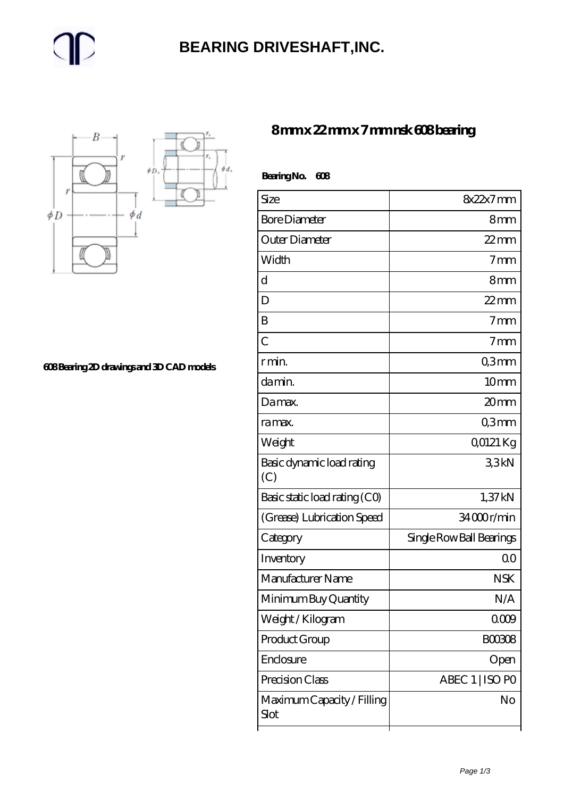## **[BEARING DRIVESHAFT,INC.](https://m.trendco-vick.com)**



**[608 Bearing 2D drawings and 3D CAD models](https://m.trendco-vick.com/pic-412217.html)**

### **[8 mm x 22 mm x 7 mm nsk 608 bearing](https://m.trendco-vick.com/nsk-608-bearing/)**

| BearingNo.<br>608                  |                          |
|------------------------------------|--------------------------|
| Size                               | 8x22x7mm                 |
| <b>Bore Diameter</b>               | 8 <sub>mm</sub>          |
| Outer Diameter                     | $22$ mm                  |
| Width                              | 7 <sub>mm</sub>          |
| d                                  | 8 <sub>mm</sub>          |
| D                                  | $22$ mm                  |
| B                                  | 7 <sub>mm</sub>          |
| $\overline{C}$                     | 7 <sub>mm</sub>          |
| r min.                             | Q3mm                     |
| da min.                            | 10 <sub>mm</sub>         |
| Damax.                             | 20 <sub>mm</sub>         |
| ra max.                            | Q3mm                     |
| Weight                             | 00121 Kg                 |
| Basic dynamic load rating<br>(C)   | 33kN                     |
| Basic static load rating (CO)      | 1,37kN                   |
| (Grease) Lubrication Speed         | 34000r/min               |
| Category                           | Single Row Ball Bearings |
| Inventory                          | 00                       |
| Manufacturer Name                  | <b>NSK</b>               |
| Minimum Buy Quantity               | N/A                      |
| Weight/Kilogram                    | 0009                     |
| Product Group                      | <b>BOO3O8</b>            |
| Enclosure                          | Open                     |
| Precision Class                    | ABEC 1   ISO PO          |
| Maximum Capacity / Filling<br>Slot | No                       |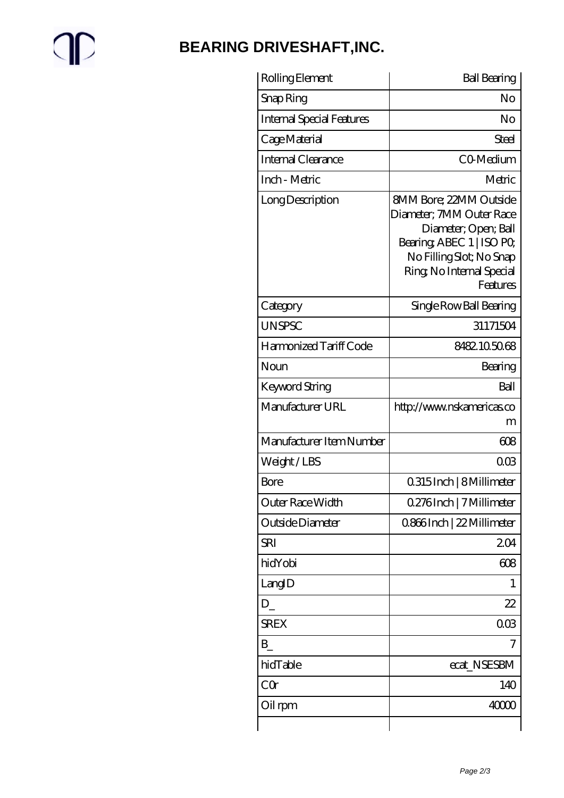# $\mathbb{P}$

## **[BEARING DRIVESHAFT,INC.](https://m.trendco-vick.com)**

| Rolling Element                  | <b>Ball Bearing</b>                                                                                                                                                         |
|----------------------------------|-----------------------------------------------------------------------------------------------------------------------------------------------------------------------------|
| Snap Ring                        | No                                                                                                                                                                          |
| <b>Internal Special Features</b> | No                                                                                                                                                                          |
| Cage Material                    | Steel                                                                                                                                                                       |
| Internal Clearance               | CO-Medium                                                                                                                                                                   |
| Inch - Metric                    | Metric                                                                                                                                                                      |
| Long Description                 | 8MM Bore; 22MM Outside<br>Diameter; 7MM Outer Race<br>Diameter, Open; Ball<br>Bearing, ABEC 1   ISO PO<br>No Filling Slot; No Snap<br>Ring, No Internal Special<br>Features |
| Category                         | Single Row Ball Bearing                                                                                                                                                     |
| <b>UNSPSC</b>                    | 31171504                                                                                                                                                                    |
| Harmonized Tariff Code           | 8482105068                                                                                                                                                                  |
| Noun                             | Bearing                                                                                                                                                                     |
| Keyword String                   | Ball                                                                                                                                                                        |
| Manufacturer URL                 | http://www.nskamericas.co<br>m                                                                                                                                              |
| Manufacturer Item Number         | 608                                                                                                                                                                         |
| Weight/LBS                       | $\Omega$ $\Omega$                                                                                                                                                           |
| Bore                             | 0.315 Inch   8 Millimeter                                                                                                                                                   |
| Outer Race Width                 | 0.276Inch   7 Millimeter                                                                                                                                                    |
| Outside Diameter                 | 0.866Inch   22 Millimeter                                                                                                                                                   |
| <b>SRI</b>                       | 204                                                                                                                                                                         |
| hidYobi                          | 608                                                                                                                                                                         |
| LangID                           | 1                                                                                                                                                                           |
| D                                | 22                                                                                                                                                                          |
| <b>SREX</b>                      | 003                                                                                                                                                                         |
| B                                | 7                                                                                                                                                                           |
| hidTable                         | ecat_NSESBM                                                                                                                                                                 |
| CQ                               | 140                                                                                                                                                                         |
| Oil rpm                          | 40000                                                                                                                                                                       |
|                                  |                                                                                                                                                                             |